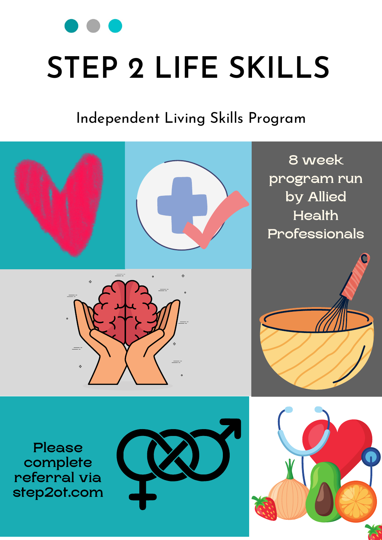# **STEP 2 LIFE SKILLS**

Independent Living Skills Program



Please complete referral via step2ot.com







8 week program run by Allied **Health** Professionals